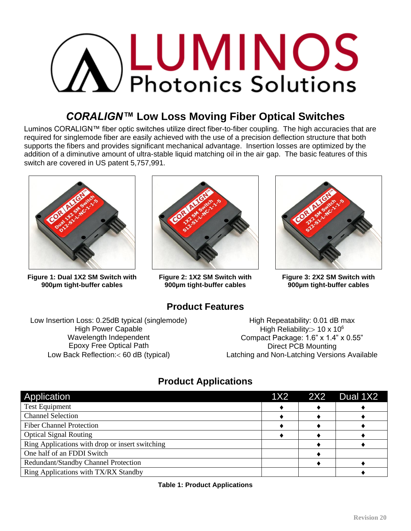# **A LUMINOS Photonics Solutions**

# *CORALIGN™* **Low Loss Moving Fiber Optical Switches**

Luminos CORALIGN™ fiber optic switches utilize direct fiber-to-fiber coupling. The high accuracies that are required for singlemode fiber are easily achieved with the use of a precision deflection structure that both supports the fibers and provides significant mechanical advantage. Insertion losses are optimized by the addition of a diminutive amount of ultra-stable liquid matching oil in the air gap. The basic features of this switch are covered in US patent 5,757,991.



**Figure 1: Dual 1X2 SM Switch with 900µm tight-buffer cables**



**Figure 2: 1X2 SM Switch with 900µm tight-buffer cables**

**Product Features**



**Figure 3: 2X2 SM Switch with 900µm tight-buffer cables**

Low Insertion Loss: 0.25dB typical (singlemode) High Power Capable Wavelength Independent Epoxy Free Optical Path Low Back Reflection:< 60 dB (typical)

High Repeatability: 0.01 dB max High Reliability:  $> 10 \times 10^6$ Compact Package: 1.6" x 1.4" x 0.55" Direct PCB Mounting Latching and Non-Latching Versions Available

# **Product Applications**

| Application                                     | 1X2 2X2 | Dual 1X2 |
|-------------------------------------------------|---------|----------|
| <b>Test Equipment</b>                           |         |          |
| <b>Channel Selection</b>                        |         |          |
| <b>Fiber Channel Protection</b>                 |         |          |
| <b>Optical Signal Routing</b>                   |         |          |
| Ring Applications with drop or insert switching |         |          |
| One half of an FDDI Switch                      |         |          |
| Redundant/Standby Channel Protection            |         |          |
| Ring Applications with TX/RX Standby            |         |          |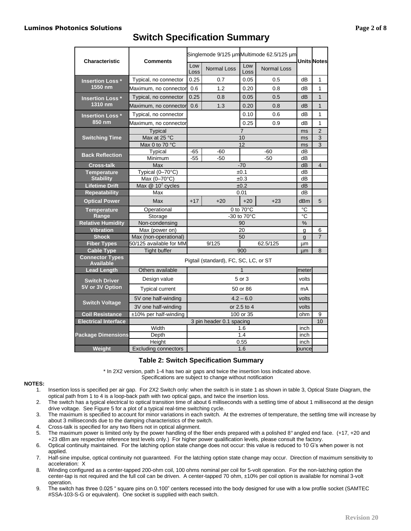#### **Luminos Photonics Solutions Page 2 of 8**

| <b>Characteristic</b>                      | <b>Comments</b>                       | Singlemode 9/125 µmMultimode 62.5/125 µm |                          |                     |                    |       | <b>Units Notes</b> |
|--------------------------------------------|---------------------------------------|------------------------------------------|--------------------------|---------------------|--------------------|-------|--------------------|
|                                            |                                       | Low<br>Loss                              | <b>Normal Loss</b>       | Low<br>Loss         | <b>Normal Loss</b> |       |                    |
| <b>Insertion Loss*</b>                     | Typical, no connector                 | 0.25                                     | 0.7                      | 0.05                | 0.5                | dB    | 1                  |
| 1550 nm                                    | Maximum, no connector                 | 0.6                                      | 1.2                      | 0.20                | 0.8                | dB    | 1                  |
| <b>Insertion Loss</b> *                    | Typical, no connector                 | 0.25                                     | 0.8                      | 0.05                | 0.5                | dB    | 1                  |
| 1310 nm                                    | Maximum, no connector                 | 0.6                                      | 1.3                      | 0.20                | 0.8                | dB    | $\overline{1}$     |
| <b>Insertion Loss</b> *                    | Typical, no connector                 |                                          |                          | 0.10                | 0.6                | dB    | 1                  |
| 850 nm                                     | Maximum, no connector                 | 0.25<br>0.9                              |                          |                     |                    | dB    | 1                  |
|                                            | Typical                               | $\overline{7}$                           |                          |                     |                    | ms    | $\overline{2}$     |
| <b>Switching Time</b>                      | Max at 25 $\degree$ C                 | 10                                       |                          |                     |                    | ms    | 3                  |
|                                            | Max 0 to 70 °C                        |                                          |                          | 12                  |                    | ms    | 3                  |
|                                            | Typical                               | -65                                      | -60                      |                     | $-60$              | dB    |                    |
| <b>Back Reflection</b>                     | Minimum                               | $-55$                                    | $-50$                    |                     | $-50$              | dB    |                    |
| <b>Cross-talk</b>                          | Max                                   |                                          |                          | $-70$               |                    | dB    | $\overline{4}$     |
| <b>Temperature</b>                         | Typical (0-70°C)                      | ±0.1                                     |                          |                     |                    | dB    |                    |
| <b>Stability</b>                           | Max (0-70°C)                          | ±0.3                                     |                          |                     |                    | dB    |                    |
| <b>Lifetime Drift</b>                      | Max $@ 107$ cycles                    | ±0.2                                     |                          |                     |                    | dB    |                    |
| <b>Repeatability</b>                       | Max                                   |                                          |                          | 0.01                |                    | dB    |                    |
| <b>Optical Power</b>                       | Max                                   | $+17$                                    | $+20$                    | $+20$               | $+23$              | dBm   | 5                  |
| <b>Temperature</b>                         | Operational                           |                                          |                          | 0 to $70^{\circ}$ C |                    | °C    |                    |
| Range                                      | Storage                               | -30 to 70°C                              |                          |                     |                    | °C    |                    |
| <b>Relative Humidity</b>                   | Non-condensing                        |                                          |                          | 90                  |                    | $\%$  |                    |
| <b>Vibration</b>                           | Max (power on)                        |                                          |                          | 20                  |                    | g     | 6                  |
| <b>Shock</b>                               | Max (non-operational)                 | 50                                       |                          |                     |                    | g     | $\overline{7}$     |
| <b>Fiber Types</b>                         | 50/125 available for MM               |                                          | 9/125                    |                     | 62.5/125           | μm    |                    |
| <b>Cable Type</b>                          | <b>Tight buffer</b>                   | 900                                      |                          |                     | μm                 | 8     |                    |
| <b>Connector Types</b><br><b>Available</b> | Pigtail (standard), FC, SC, LC, or ST |                                          |                          |                     |                    |       |                    |
| <b>Lead Length</b>                         | Others available                      | $\mathbf{1}$                             |                          |                     | meter              |       |                    |
| <b>Switch Driver</b>                       | Design value                          | 5 or 3                                   |                          |                     | volts              |       |                    |
| 5V or 3V Option                            | <b>Typical current</b>                | 50 or 86                                 |                          |                     |                    | mA    |                    |
|                                            | 5V one half-winding                   | $4.2 - 6.0$                              |                          |                     | volts              |       |                    |
| <b>Switch Voltage</b>                      | 3V one half-winding                   | or 2.5 to 4                              |                          |                     |                    | volts |                    |
| <b>Coil Resistance</b>                     | ±10% per half-winding                 | 100 or 35                                |                          |                     | ohm                | 9     |                    |
| <b>Electrical Interface</b>                |                                       |                                          | 3 pin header 0.1 spacing |                     |                    |       | 10                 |
|                                            | Width                                 |                                          |                          | 1.6                 |                    | inch  |                    |
| <b>Package Dimensions</b>                  | Depth                                 | 1.4                                      |                          |                     |                    | inch  |                    |
|                                            | Height                                |                                          |                          | 0.55                |                    | inch  |                    |
| Weight                                     | <b>Excluding connectors</b>           | 1.6                                      |                          |                     | ounce              |       |                    |

#### **Table 2: Switch Specification Summary**

\* In 2X2 version, path 1-4 has two air gaps and twice the insertion loss indicated above. Specifications are subject to change without notification

#### **NOTES:**

- 1. Insertion loss is specified per air gap. For 2X2 Switch only: when the switch is in state 1 as shown in table 3, Optical State Diagram, the optical path from 1 to 4 is a loop-back path with two optical gaps, and twice the insertion loss.
- 2. The switch has a typical electrical to optical transition time of about 6 milliseconds with a settling time of about 1 millisecond at the design drive voltage. See Figure 5 for a plot of a typical real-time switching cycle.
- 3. The maximum is specified to account for minor variations in each switch. At the extremes of temperature, the settling time will increase by about 3 milliseconds due to the damping characteristics of the switch.
- 4. Cross-talk is specified for any two fibers not in optical alignment.
- 5. The maximum power is limited only by the power handling of the fiber ends prepared with a polished 8° angled end face. (+17, +20 and +23 dBm are respective reference test levels only.) For higher power qualification levels, please consult the factory.
- 6. Optical continuity maintained. For the latching option state change does not occur: this value is reduced to 10 G's when power is not applied.
- 7. Half-sine impulse, optical continuity not guaranteed. For the latching option state change may occur. Direction of maximum sensitivity to acceleration: X
- 8. Winding configured as a center-tapped 200-ohm coil, 100 ohms nominal per coil for 5-volt operation. For the non-latching option the center-tap is not required and the full coil can be driven. A center-tapped 70 ohm, ±10% per coil option is available for nominal 3-volt operation.
- 9. The switch has three 0.025 " square pins on 0.100" centers recessed into the body designed for use with a low profile socket (SAMTEC #SSA-103-S-G or equivalent). One socket is supplied with each switch.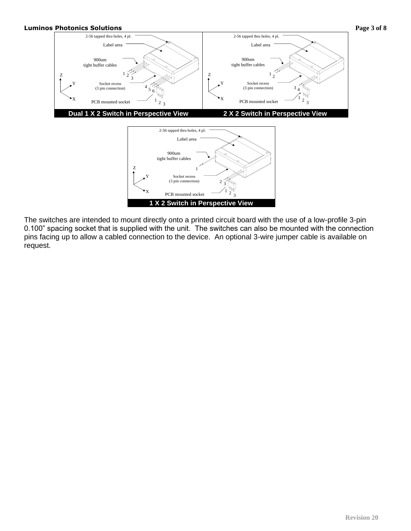

The switches are intended to mount directly onto a printed circuit board with the use of a low-profile 3-pin 0.100" spacing socket that is supplied with the unit. The switches can also be mounted with the connection pins facing up to allow a cabled connection to the device. An optional 3-wire jumper cable is available on request.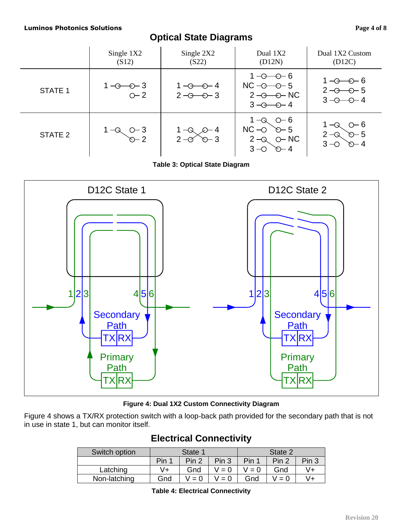# **Optical State Diagrams**

|                | Single 1X2<br>(S12)                  | Single 2X2<br>(S22)                       | Dual 1X2<br>(D12N)                                                                                              | Dual 1X2 Custom<br>(D12C)                                             |  |
|----------------|--------------------------------------|-------------------------------------------|-----------------------------------------------------------------------------------------------------------------|-----------------------------------------------------------------------|--|
| <b>STATE 1</b> | $1 - \theta - \theta - 3$<br>$O - 2$ | $1 - \odot - \odot - 4$<br>$2 - 0 - 3$    | $1 - \theta - \theta - 6$<br>$NC - \rightarrow -5$<br>$2 - \ominus - \ominus - NC$<br>$3 - \theta - \theta - 4$ | $1 - \theta - \theta - 6$<br>$2 - 0 - 5$<br>$3 - \theta - \theta - 4$ |  |
| STATE 2        | $O-3$<br>$D-2$                       | $\mathcal{D}$ 4<br>$2 - 0$<br>$\infty$ -3 | $O - 6$<br>1 —Q<br>$NC - O$ $O - 5$<br>$2 - Q$ $Q - NC$<br>$3 - O$<br>$\odot - 4$                               | $O - 6$<br>$2 - Q$<br>$\infty - 5$<br>$3 - \circ$<br>$\infty - 4$     |  |

**Table 3: Optical State Diagram**



#### **Figure 4: Dual 1X2 Custom Connectivity Diagram**

Figure 4 shows a TX/RX protection switch with a loop-back path provided for the secondary path that is not in use in state 1, but can monitor itself.

## **Electrical Connectivity**

| Switch option | State 1 |       |       | State 2 |       |                  |
|---------------|---------|-------|-------|---------|-------|------------------|
|               | Pin 1   | Pin 2 | Pin 3 | Pin 1   | Pin 2 | Pin <sub>3</sub> |
| Latching      | V+      | Gnd   | $= 0$ | $' = 0$ | Gnd   | V+               |
| Non-latching  | Gnd     | $= 0$ | $= 0$ | Gnd     | $= 0$ | V+               |

**Table 4: Electrical Connectivity**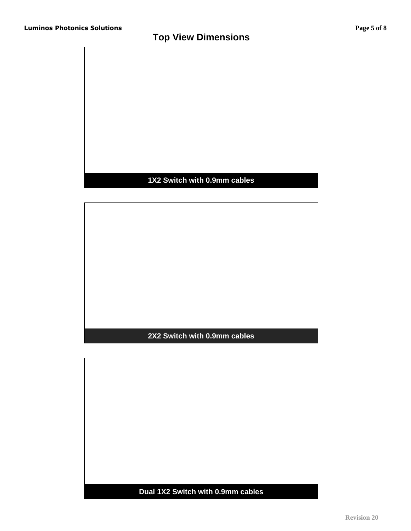# **Top View Dimensions**



## **1X2 Switch with 0.9mm cables**

## **2X2 Switch with 0.9mm cables**

**Dual 1X2 Switch with 0.9mm cables**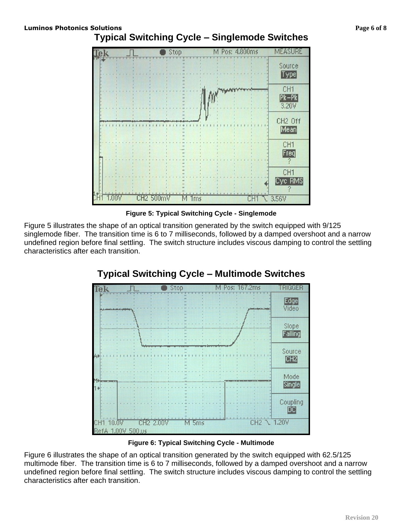



**Figure 5: Typical Switching Cycle - Singlemode**

Figure 5 illustrates the shape of an optical transition generated by the switch equipped with 9/125 singlemode fiber. The transition time is 6 to 7 milliseconds, followed by a damped overshoot and a narrow undefined region before final settling. The switch structure includes viscous damping to control the settling characteristics after each transition.



# **Typical Switching Cycle – Multimode Switches**

**Figure 6: Typical Switching Cycle - Multimode**

Figure 6 illustrates the shape of an optical transition generated by the switch equipped with 62.5/125 multimode fiber. The transition time is 6 to 7 milliseconds, followed by a damped overshoot and a narrow undefined region before final settling. The switch structure includes viscous damping to control the settling characteristics after each transition.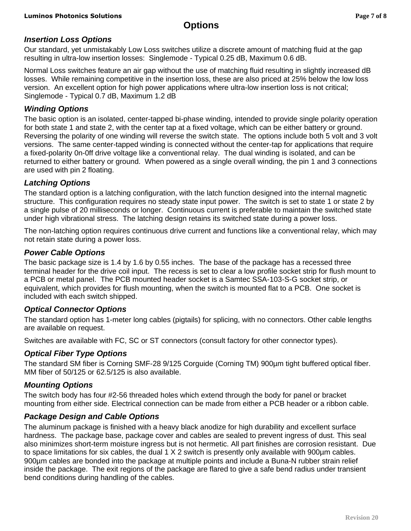# **Options**

## *Insertion Loss Options*

Our standard, yet unmistakably Low Loss switches utilize a discrete amount of matching fluid at the gap resulting in ultra-low insertion losses: Singlemode - Typical 0.25 dB, Maximum 0.6 dB.

Normal Loss switches feature an air gap without the use of matching fluid resulting in slightly increased dB losses. While remaining competitive in the insertion loss, these are also priced at 25% below the low loss version. An excellent option for high power applications where ultra-low insertion loss is not critical; Singlemode - Typical 0.7 dB, Maximum 1.2 dB

## *Winding Options*

The basic option is an isolated, center-tapped bi-phase winding, intended to provide single polarity operation for both state 1 and state 2, with the center tap at a fixed voltage, which can be either battery or ground. Reversing the polarity of one winding will reverse the switch state. The options include both 5 volt and 3 volt versions. The same center-tapped winding is connected without the center-tap for applications that require a fixed-polarity 0n-0ff drive voltage like a conventional relay. The dual winding is isolated, and can be returned to either battery or ground. When powered as a single overall winding, the pin 1 and 3 connections are used with pin 2 floating.

## *Latching Options*

The standard option is a latching configuration, with the latch function designed into the internal magnetic structure. This configuration requires no steady state input power. The switch is set to state 1 or state 2 by a single pulse of 20 milliseconds or longer. Continuous current is preferable to maintain the switched state under high vibrational stress. The latching design retains its switched state during a power loss.

The non-latching option requires continuous drive current and functions like a conventional relay, which may not retain state during a power loss.

## *Power Cable Options*

The basic package size is 1.4 by 1.6 by 0.55 inches. The base of the package has a recessed three terminal header for the drive coil input. The recess is set to clear a low profile socket strip for flush mount to a PCB or metal panel. The PCB mounted header socket is a Samtec SSA-103-S-G socket strip, or equivalent, which provides for flush mounting, when the switch is mounted flat to a PCB. One socket is included with each switch shipped.

#### *Optical Connector Options*

The standard option has 1-meter long cables (pigtails) for splicing, with no connectors. Other cable lengths are available on request.

Switches are available with FC, SC or ST connectors (consult factory for other connector types).

## *Optical Fiber Type Options*

The standard SM fiber is Corning SMF-28 9/125 Corguide (Corning TM) 900µm tight buffered optical fiber. MM fiber of 50/125 or 62.5/125 is also available.

#### *Mounting Options*

The switch body has four #2-56 threaded holes which extend through the body for panel or bracket mounting from either side. Electrical connection can be made from either a PCB header or a ribbon cable.

## *Package Design and Cable Options*

The aluminum package is finished with a heavy black anodize for high durability and excellent surface hardness. The package base, package cover and cables are sealed to prevent ingress of dust. This seal also minimizes short-term moisture ingress but is not hermetic. All part finishes are corrosion resistant. Due to space limitations for six cables, the dual 1 X 2 switch is presently only available with 900µm cables. 900µm cables are bonded into the package at multiple points and include a Buna-N rubber strain relief inside the package. The exit regions of the package are flared to give a safe bend radius under transient bend conditions during handling of the cables.